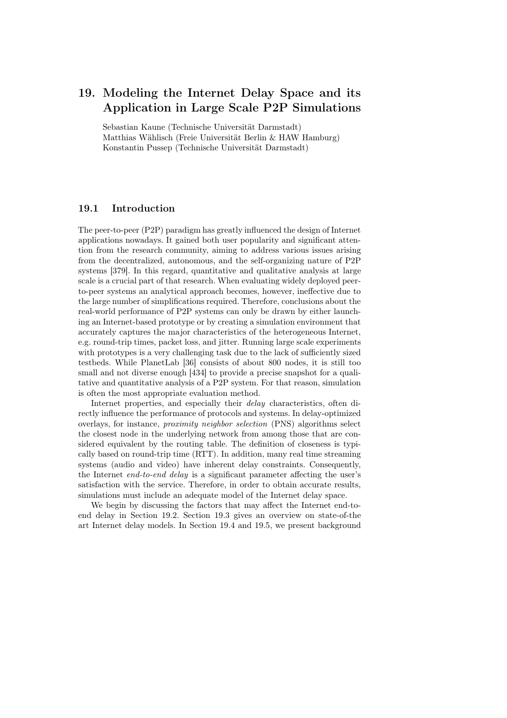# 19. Modeling the Internet Delay Space and its Application in Large Scale P2P Simulations

Sebastian Kaune (Technische Universität Darmstadt) Matthias Wählisch (Freie Universität Berlin & HAW Hamburg) Konstantin Pussep (Technische Universität Darmstadt)

# 19.1 Introduction

The peer-to-peer (P2P) paradigm has greatly influenced the design of Internet applications nowadays. It gained both user popularity and significant attention from the research community, aiming to address various issues arising from the decentralized, autonomous, and the self-organizing nature of P2P systems [379]. In this regard, quantitative and qualitative analysis at large scale is a crucial part of that research. When evaluating widely deployed peerto-peer systems an analytical approach becomes, however, ineffective due to the large number of simplifications required. Therefore, conclusions about the real-world performance of P2P systems can only be drawn by either launching an Internet-based prototype or by creating a simulation environment that accurately captures the major characteristics of the heterogeneous Internet, e.g. round-trip times, packet loss, and jitter. Running large scale experiments with prototypes is a very challenging task due to the lack of sufficiently sized testbeds. While PlanetLab [36] consists of about 800 nodes, it is still too small and not diverse enough [434] to provide a precise snapshot for a qualitative and quantitative analysis of a P2P system. For that reason, simulation is often the most appropriate evaluation method.

Internet properties, and especially their *delay* characteristics, often directly influence the performance of protocols and systems. In delay-optimized overlays, for instance, *proximity neighbor selection* (PNS) algorithms select the closest node in the underlying network from among those that are considered equivalent by the routing table. The definition of closeness is typically based on round-trip time (RTT). In addition, many real time streaming systems (audio and video) have inherent delay constraints. Consequently, the Internet *end-to-end delay* is a significant parameter affecting the user's satisfaction with the service. Therefore, in order to obtain accurate results, simulations must include an adequate model of the Internet delay space.

We begin by discussing the factors that may affect the Internet end-toend delay in Section 19.2. Section 19.3 gives an overview on state-of-the art Internet delay models. In Section 19.4 and 19.5, we present background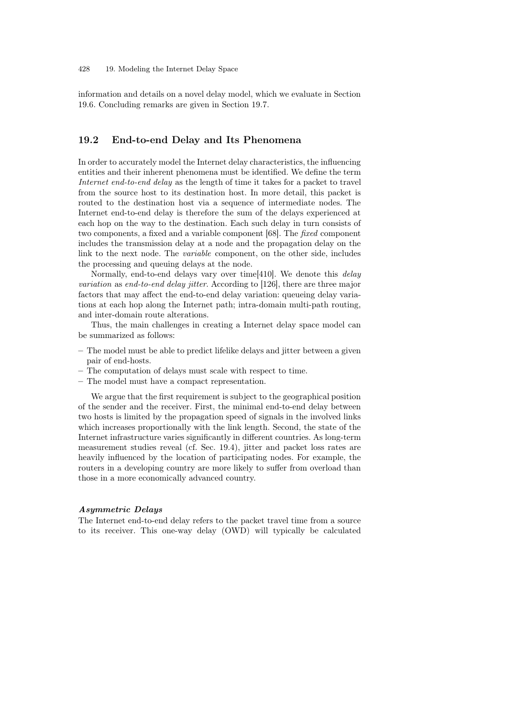information and details on a novel delay model, which we evaluate in Section 19.6. Concluding remarks are given in Section 19.7.

### 19.2 End-to-end Delay and Its Phenomena

In order to accurately model the Internet delay characteristics, the influencing entities and their inherent phenomena must be identified. We define the term *Internet end-to-end delay* as the length of time it takes for a packet to travel from the source host to its destination host. In more detail, this packet is routed to the destination host via a sequence of intermediate nodes. The Internet end-to-end delay is therefore the sum of the delays experienced at each hop on the way to the destination. Each such delay in turn consists of two components, a fixed and a variable component [68]. The *fixed* component includes the transmission delay at a node and the propagation delay on the link to the next node. The *variable* component, on the other side, includes the processing and queuing delays at the node.

Normally, end-to-end delays vary over time[410]. We denote this *delay variation* as *end-to-end delay jitter*. According to [126], there are three major factors that may affect the end-to-end delay variation: queueing delay variations at each hop along the Internet path; intra-domain multi-path routing, and inter-domain route alterations.

Thus, the main challenges in creating a Internet delay space model can be summarized as follows:

- The model must be able to predict lifelike delays and jitter between a given pair of end-hosts.
- The computation of delays must scale with respect to time.
- The model must have a compact representation.

We argue that the first requirement is subject to the geographical position of the sender and the receiver. First, the minimal end-to-end delay between two hosts is limited by the propagation speed of signals in the involved links which increases proportionally with the link length. Second, the state of the Internet infrastructure varies significantly in different countries. As long-term measurement studies reveal (cf. Sec. 19.4), jitter and packet loss rates are heavily influenced by the location of participating nodes. For example, the routers in a developing country are more likely to suffer from overload than those in a more economically advanced country.

#### *Asymmetric Delays*

The Internet end-to-end delay refers to the packet travel time from a source to its receiver. This one-way delay (OWD) will typically be calculated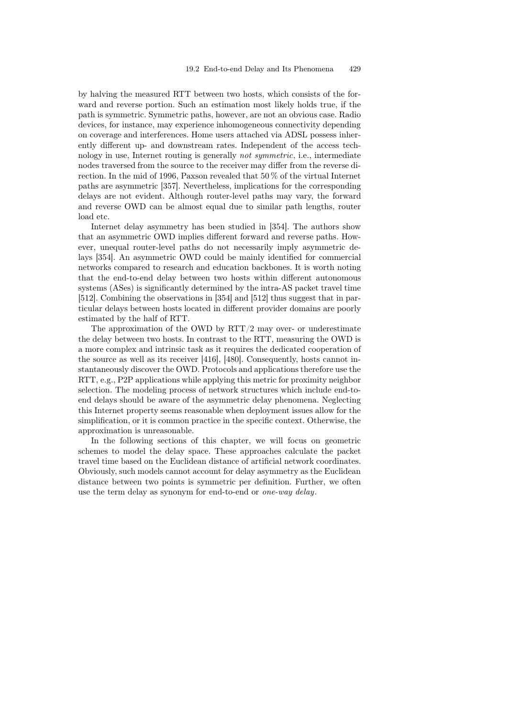by halving the measured RTT between two hosts, which consists of the forward and reverse portion. Such an estimation most likely holds true, if the path is symmetric. Symmetric paths, however, are not an obvious case. Radio devices, for instance, may experience inhomogeneous connectivity depending on coverage and interferences. Home users attached via ADSL possess inherently different up- and downstream rates. Independent of the access technology in use, Internet routing is generally *not symmetric*, i.e., intermediate nodes traversed from the source to the receiver may differ from the reverse direction. In the mid of 1996, Paxson revealed that 50 % of the virtual Internet paths are asymmetric [357]. Nevertheless, implications for the corresponding delays are not evident. Although router-level paths may vary, the forward and reverse OWD can be almost equal due to similar path lengths, router load etc.

Internet delay asymmetry has been studied in [354]. The authors show that an asymmetric OWD implies different forward and reverse paths. However, unequal router-level paths do not necessarily imply asymmetric delays [354]. An asymmetric OWD could be mainly identified for commercial networks compared to research and education backbones. It is worth noting that the end-to-end delay between two hosts within different autonomous systems (ASes) is significantly determined by the intra-AS packet travel time [512]. Combining the observations in [354] and [512] thus suggest that in particular delays between hosts located in different provider domains are poorly estimated by the half of RTT.

The approximation of the OWD by  $RTT/2$  may over- or underestimate the delay between two hosts. In contrast to the RTT, measuring the OWD is a more complex and intrinsic task as it requires the dedicated cooperation of the source as well as its receiver [416], [480]. Consequently, hosts cannot instantaneously discover the OWD. Protocols and applications therefore use the RTT, e.g., P2P applications while applying this metric for proximity neighbor selection. The modeling process of network structures which include end-toend delays should be aware of the asymmetric delay phenomena. Neglecting this Internet property seems reasonable when deployment issues allow for the simplification, or it is common practice in the specific context. Otherwise, the approximation is unreasonable.

In the following sections of this chapter, we will focus on geometric schemes to model the delay space. These approaches calculate the packet travel time based on the Euclidean distance of artificial network coordinates. Obviously, such models cannot account for delay asymmetry as the Euclidean distance between two points is symmetric per definition. Further, we often use the term delay as synonym for end-to-end or *one-way delay*.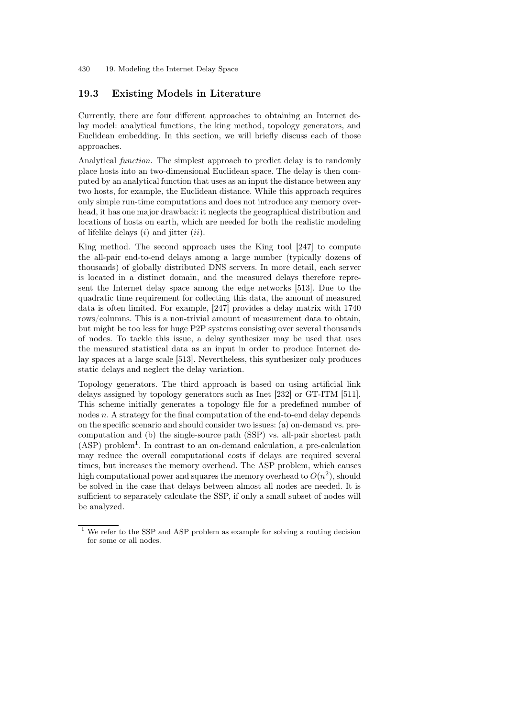# 19.3 Existing Models in Literature

Currently, there are four different approaches to obtaining an Internet delay model: analytical functions, the king method, topology generators, and Euclidean embedding. In this section, we will briefly discuss each of those approaches.

Analytical *function.* The simplest approach to predict delay is to randomly place hosts into an two-dimensional Euclidean space. The delay is then computed by an analytical function that uses as an input the distance between any two hosts, for example, the Euclidean distance. While this approach requires only simple run-time computations and does not introduce any memory overhead, it has one major drawback: it neglects the geographical distribution and locations of hosts on earth, which are needed for both the realistic modeling of lifelike delays  $(i)$  and jitter  $(ii)$ .

King method*.* The second approach uses the King tool [247] to compute the all-pair end-to-end delays among a large number (typically dozens of thousands) of globally distributed DNS servers. In more detail, each server is located in a distinct domain, and the measured delays therefore represent the Internet delay space among the edge networks [513]. Due to the quadratic time requirement for collecting this data, the amount of measured data is often limited. For example, [247] provides a delay matrix with 1740 rows/columns. This is a non-trivial amount of measurement data to obtain, but might be too less for huge P2P systems consisting over several thousands of nodes. To tackle this issue, a delay synthesizer may be used that uses the measured statistical data as an input in order to produce Internet delay spaces at a large scale [513]. Nevertheless, this synthesizer only produces static delays and neglect the delay variation.

Topology generators*.* The third approach is based on using artificial link delays assigned by topology generators such as Inet [232] or GT-ITM [511]. This scheme initially generates a topology file for a predefined number of nodes n. A strategy for the final computation of the end-to-end delay depends on the specific scenario and should consider two issues: (a) on-demand vs. precomputation and (b) the single-source path (SSP) vs. all-pair shortest path  $(ASP)$  problem<sup>1</sup>. In contrast to an on-demand calculation, a pre-calculation may reduce the overall computational costs if delays are required several times, but increases the memory overhead. The ASP problem, which causes high computational power and squares the memory overhead to  $O(n^2)$ , should be solved in the case that delays between almost all nodes are needed. It is sufficient to separately calculate the SSP, if only a small subset of nodes will be analyzed.

 $1$  We refer to the SSP and ASP problem as example for solving a routing decision for some or all nodes.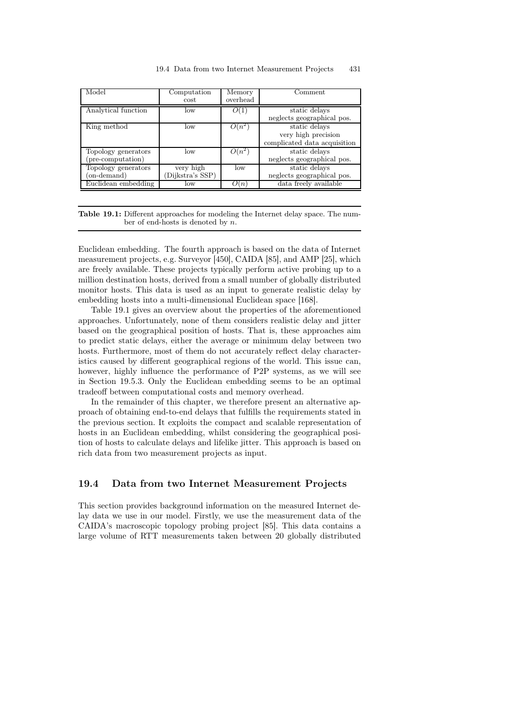| Model                                    | Computation<br>cost           | Memory<br>overhead | Comment                                                              |  |
|------------------------------------------|-------------------------------|--------------------|----------------------------------------------------------------------|--|
| Analytical function                      | low                           | ΟŒ                 | static delays<br>neglects geographical pos.                          |  |
| King method                              | low                           | $O(n^2)$           | static delays<br>very high precision<br>complicated data acquisition |  |
| Topology generators<br>(pre-computation) | low                           | $O(n^2)$           | static delays<br>neglects geographical pos.                          |  |
| Topology generators<br>(on-demand)       | very high<br>(Dijkstra's SSP) | low                | static delays<br>neglects geographical pos.                          |  |
| Euclidean embedding                      | low                           | O(n)               | data freely available                                                |  |

Table 19.1: Different approaches for modeling the Internet delay space. The number of end-hosts is denoted by n.

Euclidean embedding*.* The fourth approach is based on the data of Internet measurement projects, e.g. Surveyor [450], CAIDA [85], and AMP [25], which are freely available. These projects typically perform active probing up to a million destination hosts, derived from a small number of globally distributed monitor hosts. This data is used as an input to generate realistic delay by embedding hosts into a multi-dimensional Euclidean space [168].

Table 19.1 gives an overview about the properties of the aforementioned approaches. Unfortunately, none of them considers realistic delay and jitter based on the geographical position of hosts. That is, these approaches aim to predict static delays, either the average or minimum delay between two hosts. Furthermore, most of them do not accurately reflect delay characteristics caused by different geographical regions of the world. This issue can, however, highly influence the performance of P2P systems, as we will see in Section 19.5.3. Only the Euclidean embedding seems to be an optimal tradeoff between computational costs and memory overhead.

In the remainder of this chapter, we therefore present an alternative approach of obtaining end-to-end delays that fulfills the requirements stated in the previous section. It exploits the compact and scalable representation of hosts in an Euclidean embedding, whilst considering the geographical position of hosts to calculate delays and lifelike jitter. This approach is based on rich data from two measurement projects as input.

# 19.4 Data from two Internet Measurement Projects

This section provides background information on the measured Internet delay data we use in our model. Firstly, we use the measurement data of the CAIDA's macroscopic topology probing project [85]. This data contains a large volume of RTT measurements taken between 20 globally distributed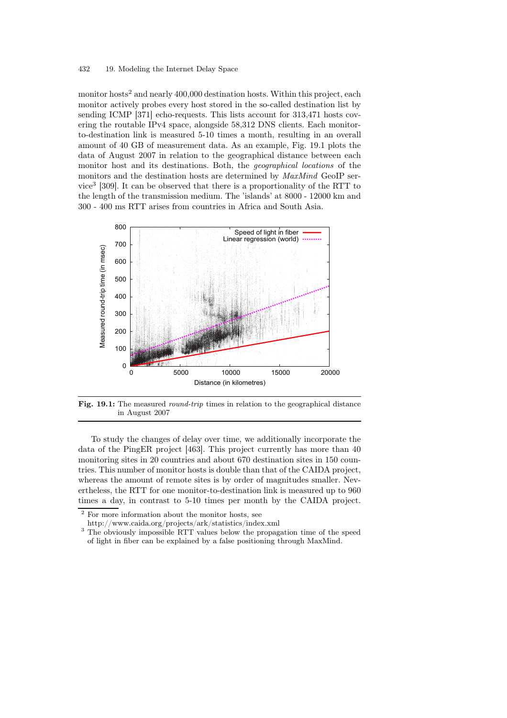monitor hosts<sup>2</sup> and nearly 400,000 destination hosts. Within this project, each monitor actively probes every host stored in the so-called destination list by sending ICMP [371] echo-requests. This lists account for 313,471 hosts covering the routable IPv4 space, alongside 58,312 DNS clients. Each monitorto-destination link is measured 5-10 times a month, resulting in an overall amount of 40 GB of measurement data. As an example, Fig. 19.1 plots the data of August 2007 in relation to the geographical distance between each monitor host and its destinations. Both, the *geographical locations* of the monitors and the destination hosts are determined by *MaxMind* GeoIP service<sup>3</sup> [309]. It can be observed that there is a proportionality of the RTT to the length of the transmission medium. The 'islands' at 8000 - 12000 km and 300 - 400 ms RTT arises from countries in Africa and South Asia.



Fig. 19.1: The measured *round-trip* times in relation to the geographical distance in August 2007

To study the changes of delay over time, we additionally incorporate the data of the PingER project [463]. This project currently has more than 40 monitoring sites in 20 countries and about 670 destination sites in 150 countries. This number of monitor hosts is double than that of the CAIDA project, whereas the amount of remote sites is by order of magnitudes smaller. Nevertheless, the RTT for one monitor-to-destination link is measured up to 960 times a day, in contrast to 5-10 times per month by the CAIDA project.

<sup>2</sup> For more information about the monitor hosts, see

http://www.caida.org/projects/ark/statistics/index.xml  $^3$  The obviously impossible RTT values below the propagation time of the speed of light in fiber can be explained by a false positioning through MaxMind.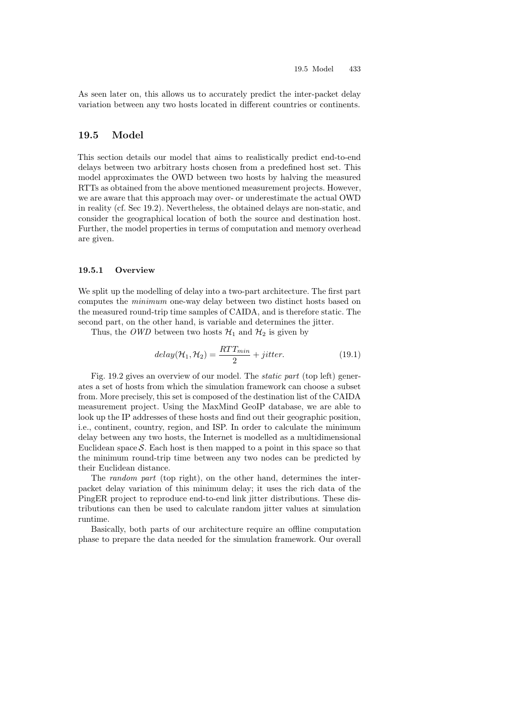As seen later on, this allows us to accurately predict the inter-packet delay variation between any two hosts located in different countries or continents.

## 19.5 Model

This section details our model that aims to realistically predict end-to-end delays between two arbitrary hosts chosen from a predefined host set. This model approximates the OWD between two hosts by halving the measured RTTs as obtained from the above mentioned measurement projects. However, we are aware that this approach may over- or underestimate the actual OWD in reality (cf. Sec 19.2). Nevertheless, the obtained delays are non-static, and consider the geographical location of both the source and destination host. Further, the model properties in terms of computation and memory overhead are given.

#### 19.5.1 Overview

We split up the modelling of delay into a two-part architecture. The first part computes the *minimum* one-way delay between two distinct hosts based on the measured round-trip time samples of CAIDA, and is therefore static. The second part, on the other hand, is variable and determines the jitter.

Thus, the *OWD* between two hosts  $\mathcal{H}_1$  and  $\mathcal{H}_2$  is given by

$$
delay(\mathcal{H}_1, \mathcal{H}_2) = \frac{RTT_{min}}{2} + jitter.
$$
\n(19.1)

Fig. 19.2 gives an overview of our model. The *static part* (top left) generates a set of hosts from which the simulation framework can choose a subset from. More precisely, this set is composed of the destination list of the CAIDA measurement project. Using the MaxMind GeoIP database, we are able to look up the IP addresses of these hosts and find out their geographic position, i.e., continent, country, region, and ISP. In order to calculate the minimum delay between any two hosts, the Internet is modelled as a multidimensional Euclidean space S. Each host is then mapped to a point in this space so that the minimum round-trip time between any two nodes can be predicted by their Euclidean distance.

The *random part* (top right), on the other hand, determines the interpacket delay variation of this minimum delay; it uses the rich data of the PingER project to reproduce end-to-end link jitter distributions. These distributions can then be used to calculate random jitter values at simulation runtime.

Basically, both parts of our architecture require an offline computation phase to prepare the data needed for the simulation framework. Our overall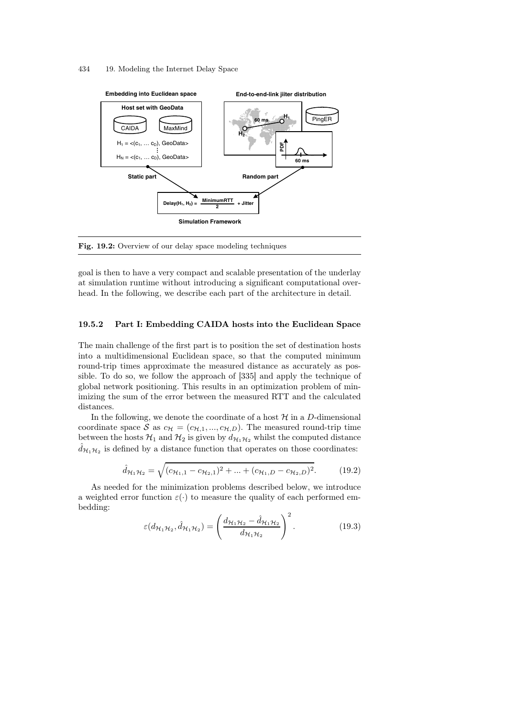

goal is then to have a very compact and scalable presentation of the underlay at simulation runtime without introducing a significant computational overhead. In the following, we describe each part of the architecture in detail.

#### 19.5.2 Part I: Embedding CAIDA hosts into the Euclidean Space

The main challenge of the first part is to position the set of destination hosts into a multidimensional Euclidean space, so that the computed minimum round-trip times approximate the measured distance as accurately as possible. To do so, we follow the approach of [335] and apply the technique of global network positioning. This results in an optimization problem of minimizing the sum of the error between the measured RTT and the calculated distances.

In the following, we denote the coordinate of a host  $H$  in a D-dimensional coordinate space S as  $c_{\mathcal{H}} = (c_{\mathcal{H},1}, ..., c_{\mathcal{H},D})$ . The measured round-trip time between the hosts  $\mathcal{H}_1$  and  $\mathcal{H}_2$  is given by  $d_{\mathcal{H}_1\mathcal{H}_2}$  whilst the computed distance  $\hat{d}_{\mathcal{H}_1\mathcal{H}_2}$  is defined by a distance function that operates on those coordinates:

$$
\hat{d}_{\mathcal{H}_1 \mathcal{H}_2} = \sqrt{(c_{\mathcal{H}_1,1} - c_{\mathcal{H}_2,1})^2 + \dots + (c_{\mathcal{H}_1,D} - c_{\mathcal{H}_2,D})^2}.
$$
(19.2)

As needed for the minimization problems described below, we introduce a weighted error function  $\varepsilon(\cdot)$  to measure the quality of each performed embedding:

$$
\varepsilon(d_{\mathcal{H}_1\mathcal{H}_2}, \hat{d}_{\mathcal{H}_1\mathcal{H}_2}) = \left(\frac{d_{\mathcal{H}_1\mathcal{H}_2} - \hat{d}_{\mathcal{H}_1\mathcal{H}_2}}{d_{\mathcal{H}_1\mathcal{H}_2}}\right)^2.
$$
(19.3)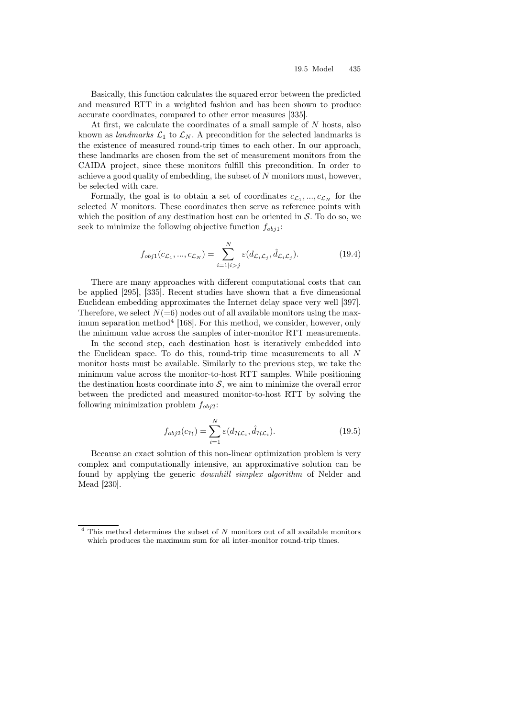Basically, this function calculates the squared error between the predicted and measured RTT in a weighted fashion and has been shown to produce accurate coordinates, compared to other error measures [335].

At first, we calculate the coordinates of a small sample of  $N$  hosts, also known as *landmarks*  $\mathcal{L}_1$  to  $\mathcal{L}_N$ . A precondition for the selected landmarks is the existence of measured round-trip times to each other. In our approach, these landmarks are chosen from the set of measurement monitors from the CAIDA project, since these monitors fulfill this precondition. In order to achieve a good quality of embedding, the subset of N monitors must, however, be selected with care.

Formally, the goal is to obtain a set of coordinates  $c_{\mathcal{L}_1},...,c_{\mathcal{L}_N}$  for the selected N monitors. These coordinates then serve as reference points with which the position of any destination host can be oriented in  $S$ . To do so, we seek to minimize the following objective function  $f_{obj1}$ :

$$
f_{obj1}(c_{\mathcal{L}_1}, ..., c_{\mathcal{L}_N}) = \sum_{i=1|i>j}^{N} \varepsilon(d_{\mathcal{L}_i\mathcal{L}_j}, \hat{d}_{\mathcal{L}_i\mathcal{L}_j}).
$$
 (19.4)

There are many approaches with different computational costs that can be applied [295], [335]. Recent studies have shown that a five dimensional Euclidean embedding approximates the Internet delay space very well [397]. Therefore, we select  $N(=6)$  nodes out of all available monitors using the maximum separation method<sup>4</sup> [168]. For this method, we consider, however, only the minimum value across the samples of inter-monitor RTT measurements.

In the second step, each destination host is iteratively embedded into the Euclidean space. To do this, round-trip time measurements to all N monitor hosts must be available. Similarly to the previous step, we take the minimum value across the monitor-to-host RTT samples. While positioning the destination hosts coordinate into  $S$ , we aim to minimize the overall error between the predicted and measured monitor-to-host RTT by solving the following minimization problem  $f_{obj2}$ :

$$
f_{obj2}(c_{\mathcal{H}}) = \sum_{i=1}^{N} \varepsilon (d_{\mathcal{HL}_i}, \hat{d}_{\mathcal{HL}_i}).
$$
 (19.5)

Because an exact solution of this non-linear optimization problem is very complex and computationally intensive, an approximative solution can be found by applying the generic *downhill simplex algorithm* of Nelder and Mead [230].

 $4$  This method determines the subset of N monitors out of all available monitors which produces the maximum sum for all inter-monitor round-trip times.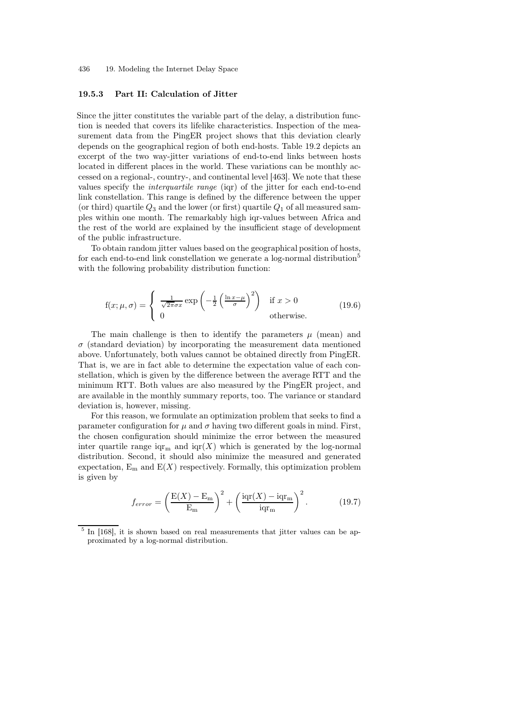#### 19.5.3 Part II: Calculation of Jitter

Since the jitter constitutes the variable part of the delay, a distribution function is needed that covers its lifelike characteristics. Inspection of the measurement data from the PingER project shows that this deviation clearly depends on the geographical region of both end-hosts. Table 19.2 depicts an excerpt of the two way-jitter variations of end-to-end links between hosts located in different places in the world. These variations can be monthly accessed on a regional-, country-, and continental level [463]. We note that these values specify the *interquartile range* (iqr) of the jitter for each end-to-end link constellation. This range is defined by the difference between the upper (or third) quartile  $Q_3$  and the lower (or first) quartile  $Q_1$  of all measured samples within one month. The remarkably high iqr-values between Africa and the rest of the world are explained by the insufficient stage of development of the public infrastructure.

To obtain random jitter values based on the geographical position of hosts, for each end-to-end link constellation we generate a log-normal distribution<sup>5</sup> with the following probability distribution function:

$$
f(x; \mu, \sigma) = \begin{cases} \frac{1}{\sqrt{2\pi}\sigma x} \exp\left(-\frac{1}{2}\left(\frac{\ln x - \mu}{\sigma}\right)^2\right) & \text{if } x > 0\\ 0 & \text{otherwise.} \end{cases}
$$
(19.6)

The main challenge is then to identify the parameters  $\mu$  (mean) and  $\sigma$  (standard deviation) by incorporating the measurement data mentioned above. Unfortunately, both values cannot be obtained directly from PingER. That is, we are in fact able to determine the expectation value of each constellation, which is given by the difference between the average RTT and the minimum RTT. Both values are also measured by the PingER project, and are available in the monthly summary reports, too. The variance or standard deviation is, however, missing.

For this reason, we formulate an optimization problem that seeks to find a parameter configuration for  $\mu$  and  $\sigma$  having two different goals in mind. First, the chosen configuration should minimize the error between the measured inter quartile range iqr<sub>m</sub> and  $iqr(X)$  which is generated by the log-normal distribution. Second, it should also minimize the measured and generated expectation,  $E_m$  and  $E(X)$  respectively. Formally, this optimization problem is given by

$$
f_{error} = \left(\frac{E(X) - E_m}{E_m}\right)^2 + \left(\frac{iqr(X) - iqr_m}{iqr_m}\right)^2.
$$
 (19.7)

In [168], it is shown based on real measurements that jitter values can be approximated by a log-normal distribution.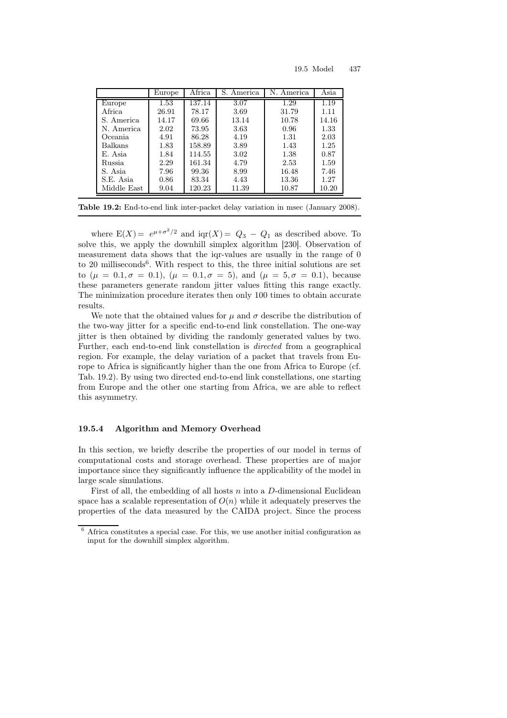19.5 Model 437

|             | Europe | Africa | S. America | N. America | Asia  |
|-------------|--------|--------|------------|------------|-------|
| Europe      | 1.53   | 137.14 | 3.07       | 1.29       | 1.19  |
| Africa      | 26.91  | 78.17  | 3.69       | 31.79      | 1.11  |
| S. America  | 14.17  | 69.66  | 13.14      | 10.78      | 14.16 |
| N. America  | 2.02   | 73.95  | 3.63       | 0.96       | 1.33  |
| Oceania     | 4.91   | 86.28  | 4.19       | 1.31       | 2.03  |
| Balkans     | 1.83   | 158.89 | 3.89       | 1.43       | 1.25  |
| E. Asia     | 1.84   | 114.55 | 3.02       | 1.38       | 0.87  |
| Russia      | 2.29   | 161.34 | 4.79       | 2.53       | 1.59  |
| S. Asia     | 7.96   | 99.36  | 8.99       | 16.48      | 7.46  |
| S.E. Asia   | 0.86   | 83.34  | 4.43       | 13.36      | 1.27  |
| Middle East | 9.04   | 120.23 | 11.39      | 10.87      | 10.20 |

Table 19.2: End-to-end link inter-packet delay variation in msec (January 2008).

where  $E(X) = e^{\mu + \sigma^2/2}$  and  $iqr(X) = Q_3 - Q_1$  as described above. To solve this, we apply the downhill simplex algorithm [230]. Observation of measurement data shows that the iqr-values are usually in the range of 0 to 20 milliseconds<sup>6</sup>. With respect to this, the three initial solutions are set to ( $\mu = 0.1, \sigma = 0.1$ ), ( $\mu = 0.1, \sigma = 5$ ), and ( $\mu = 5, \sigma = 0.1$ ), because these parameters generate random jitter values fitting this range exactly. The minimization procedure iterates then only 100 times to obtain accurate results.

We note that the obtained values for  $\mu$  and  $\sigma$  describe the distribution of the two-way jitter for a specific end-to-end link constellation. The one-way jitter is then obtained by dividing the randomly generated values by two. Further, each end-to-end link constellation is *directed* from a geographical region. For example, the delay variation of a packet that travels from Europe to Africa is significantly higher than the one from Africa to Europe (cf. Tab. 19.2). By using two directed end-to-end link constellations, one starting from Europe and the other one starting from Africa, we are able to reflect this asymmetry.

#### 19.5.4 Algorithm and Memory Overhead

In this section, we briefly describe the properties of our model in terms of computational costs and storage overhead. These properties are of major importance since they significantly influence the applicability of the model in large scale simulations.

First of all, the embedding of all hosts  $n$  into a  $D$ -dimensional Euclidean space has a scalable representation of  $O(n)$  while it adequately preserves the properties of the data measured by the CAIDA project. Since the process

<sup>6</sup> Africa constitutes a special case. For this, we use another initial configuration as input for the downhill simplex algorithm.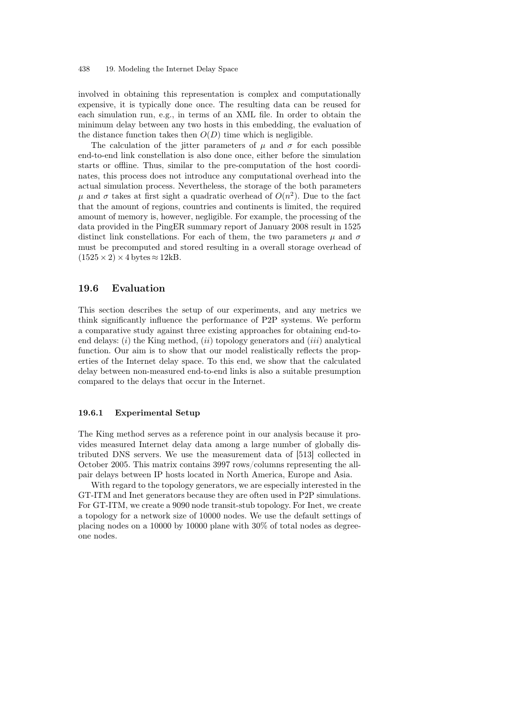involved in obtaining this representation is complex and computationally expensive, it is typically done once. The resulting data can be reused for each simulation run, e.g., in terms of an XML file. In order to obtain the minimum delay between any two hosts in this embedding, the evaluation of the distance function takes then  $O(D)$  time which is negligible.

The calculation of the jitter parameters of  $\mu$  and  $\sigma$  for each possible end-to-end link constellation is also done once, either before the simulation starts or offline. Thus, similar to the pre-computation of the host coordinates, this process does not introduce any computational overhead into the actual simulation process. Nevertheless, the storage of the both parameters  $\mu$  and  $\sigma$  takes at first sight a quadratic overhead of  $O(n^2)$ . Due to the fact that the amount of regions, countries and continents is limited, the required amount of memory is, however, negligible. For example, the processing of the data provided in the PingER summary report of January 2008 result in 1525 distinct link constellations. For each of them, the two parameters  $\mu$  and  $\sigma$ must be precomputed and stored resulting in a overall storage overhead of  $(1525 \times 2) \times 4$  bytes  $\approx 12$ kB.

# 19.6 Evaluation

This section describes the setup of our experiments, and any metrics we think significantly influence the performance of P2P systems. We perform a comparative study against three existing approaches for obtaining end-toend delays:  $(i)$  the King method,  $(ii)$  topology generators and  $(iii)$  analytical function. Our aim is to show that our model realistically reflects the properties of the Internet delay space. To this end, we show that the calculated delay between non-measured end-to-end links is also a suitable presumption compared to the delays that occur in the Internet.

#### 19.6.1 Experimental Setup

The King method serves as a reference point in our analysis because it provides measured Internet delay data among a large number of globally distributed DNS servers. We use the measurement data of [513] collected in October 2005. This matrix contains 3997 rows/columns representing the allpair delays between IP hosts located in North America, Europe and Asia.

With regard to the topology generators, we are especially interested in the GT-ITM and Inet generators because they are often used in P2P simulations. For GT-ITM, we create a 9090 node transit-stub topology. For Inet, we create a topology for a network size of 10000 nodes. We use the default settings of placing nodes on a 10000 by 10000 plane with 30% of total nodes as degreeone nodes.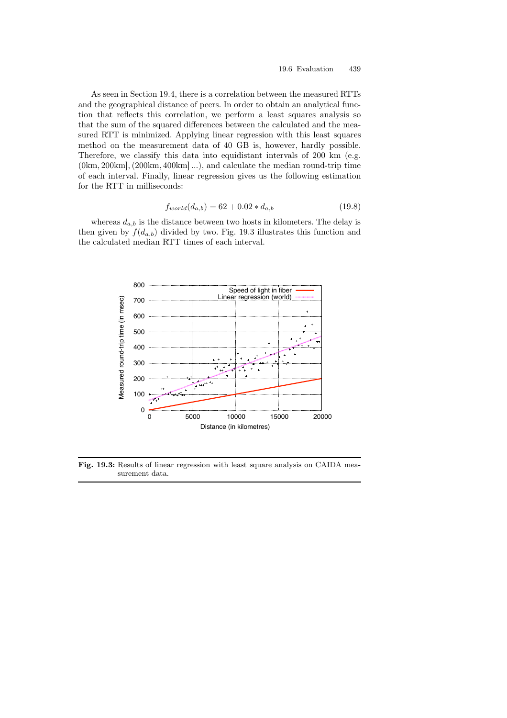As seen in Section 19.4, there is a correlation between the measured RTTs and the geographical distance of peers. In order to obtain an analytical function that reflects this correlation, we perform a least squares analysis so that the sum of the squared differences between the calculated and the measured RTT is minimized. Applying linear regression with this least squares method on the measurement data of 40 GB is, however, hardly possible. Therefore, we classify this data into equidistant intervals of 200 km (e.g. (0km, 200km], (200km, 400km] ...), and calculate the median round-trip time of each interval. Finally, linear regression gives us the following estimation for the RTT in milliseconds:

$$
f_{world}(d_{a,b}) = 62 + 0.02 * d_{a,b}
$$
\n(19.8)

whereas  $d_{a,b}$  is the distance between two hosts in kilometers. The delay is then given by  $f(d_{a,b})$  divided by two. Fig. 19.3 illustrates this function and the calculated median RTT times of each interval.



Fig. 19.3: Results of linear regression with least square analysis on CAIDA measurement data.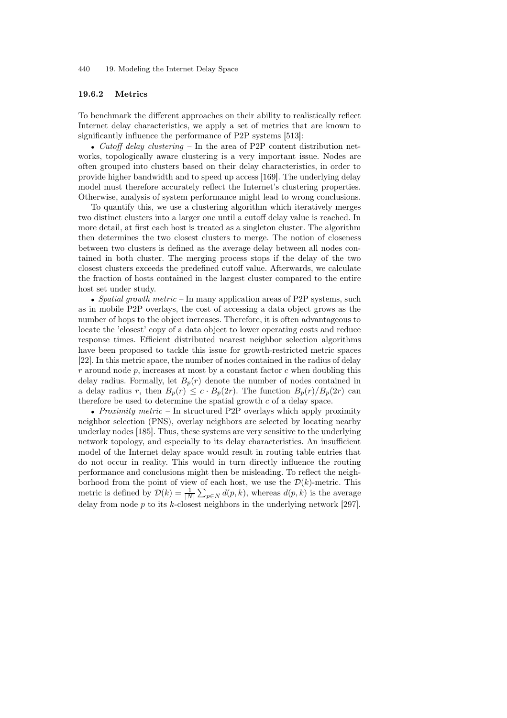#### 19.6.2 Metrics

To benchmark the different approaches on their ability to realistically reflect Internet delay characteristics, we apply a set of metrics that are known to significantly influence the performance of P2P systems [513]:

• *Cutoff delay clustering* – In the area of P2P content distribution networks, topologically aware clustering is a very important issue. Nodes are often grouped into clusters based on their delay characteristics, in order to provide higher bandwidth and to speed up access [169]. The underlying delay model must therefore accurately reflect the Internet's clustering properties. Otherwise, analysis of system performance might lead to wrong conclusions.

To quantify this, we use a clustering algorithm which iteratively merges two distinct clusters into a larger one until a cutoff delay value is reached. In more detail, at first each host is treated as a singleton cluster. The algorithm then determines the two closest clusters to merge. The notion of closeness between two clusters is defined as the average delay between all nodes contained in both cluster. The merging process stops if the delay of the two closest clusters exceeds the predefined cutoff value. Afterwards, we calculate the fraction of hosts contained in the largest cluster compared to the entire host set under study.

• *Spatial growth metric* – In many application areas of P2P systems, such as in mobile P2P overlays, the cost of accessing a data object grows as the number of hops to the object increases. Therefore, it is often advantageous to locate the 'closest' copy of a data object to lower operating costs and reduce response times. Efficient distributed nearest neighbor selection algorithms have been proposed to tackle this issue for growth-restricted metric spaces [22]. In this metric space, the number of nodes contained in the radius of delay  $r$  around node  $p$ , increases at most by a constant factor  $c$  when doubling this delay radius. Formally, let  $B_p(r)$  denote the number of nodes contained in a delay radius r, then  $B_p(r) \leq c \cdot B_p(2r)$ . The function  $B_p(r)/B_p(2r)$  can therefore be used to determine the spatial growth  $c$  of a delay space.

• *Proximity metric* – In structured P2P overlays which apply proximity neighbor selection (PNS), overlay neighbors are selected by locating nearby underlay nodes [185]. Thus, these systems are very sensitive to the underlying network topology, and especially to its delay characteristics. An insufficient model of the Internet delay space would result in routing table entries that do not occur in reality. This would in turn directly influence the routing performance and conclusions might then be misleading. To reflect the neighborhood from the point of view of each host, we use the  $\mathcal{D}(k)$ -metric. This metric is defined by  $\mathcal{D}(k) = \frac{1}{|N|} \sum_{p \in N} d(p, k)$ , whereas  $d(p, k)$  is the average delay from node p to its k-closest neighbors in the underlying network [297].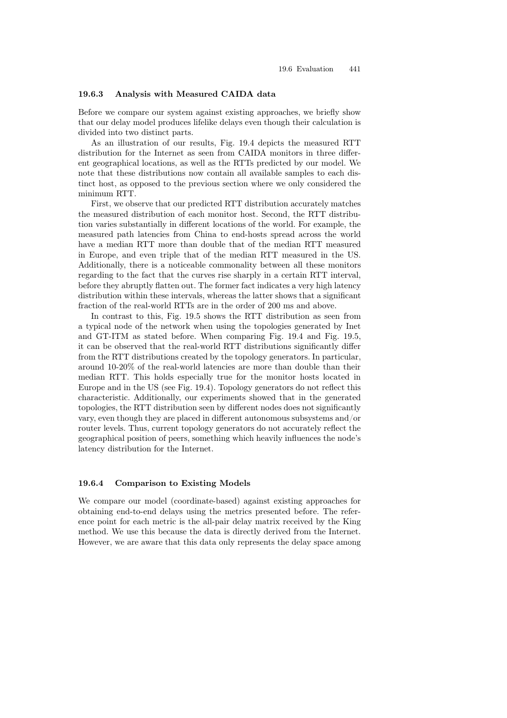#### 19.6.3 Analysis with Measured CAIDA data

Before we compare our system against existing approaches, we briefly show that our delay model produces lifelike delays even though their calculation is divided into two distinct parts.

As an illustration of our results, Fig. 19.4 depicts the measured RTT distribution for the Internet as seen from CAIDA monitors in three different geographical locations, as well as the RTTs predicted by our model. We note that these distributions now contain all available samples to each distinct host, as opposed to the previous section where we only considered the minimum RTT.

First, we observe that our predicted RTT distribution accurately matches the measured distribution of each monitor host. Second, the RTT distribution varies substantially in different locations of the world. For example, the measured path latencies from China to end-hosts spread across the world have a median RTT more than double that of the median RTT measured in Europe, and even triple that of the median RTT measured in the US. Additionally, there is a noticeable commonality between all these monitors regarding to the fact that the curves rise sharply in a certain RTT interval, before they abruptly flatten out. The former fact indicates a very high latency distribution within these intervals, whereas the latter shows that a significant fraction of the real-world RTTs are in the order of 200 ms and above.

In contrast to this, Fig. 19.5 shows the RTT distribution as seen from a typical node of the network when using the topologies generated by Inet and GT-ITM as stated before. When comparing Fig. 19.4 and Fig. 19.5, it can be observed that the real-world RTT distributions significantly differ from the RTT distributions created by the topology generators. In particular, around 10-20% of the real-world latencies are more than double than their median RTT. This holds especially true for the monitor hosts located in Europe and in the US (see Fig. 19.4). Topology generators do not reflect this characteristic. Additionally, our experiments showed that in the generated topologies, the RTT distribution seen by different nodes does not significantly vary, even though they are placed in different autonomous subsystems and/or router levels. Thus, current topology generators do not accurately reflect the geographical position of peers, something which heavily influences the node's latency distribution for the Internet.

#### 19.6.4 Comparison to Existing Models

We compare our model (coordinate-based) against existing approaches for obtaining end-to-end delays using the metrics presented before. The reference point for each metric is the all-pair delay matrix received by the King method. We use this because the data is directly derived from the Internet. However, we are aware that this data only represents the delay space among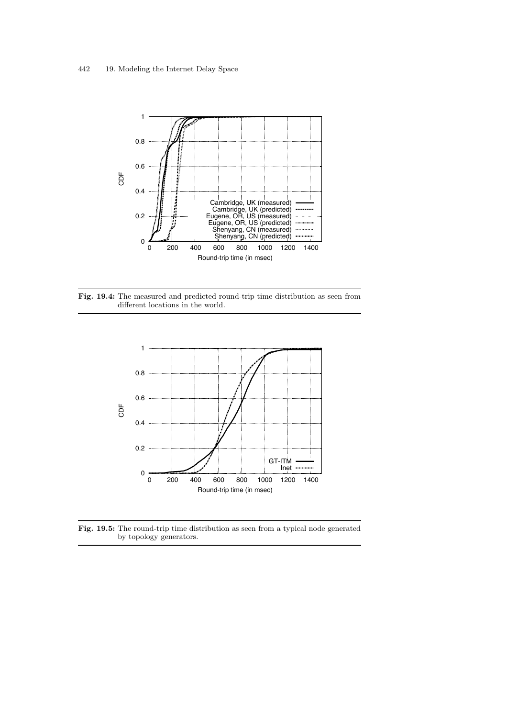

Fig. 19.4: The measured and predicted round-trip time distribution as seen from different locations in the world.



Fig. 19.5: The round-trip time distribution as seen from a typical node generated by topology generators.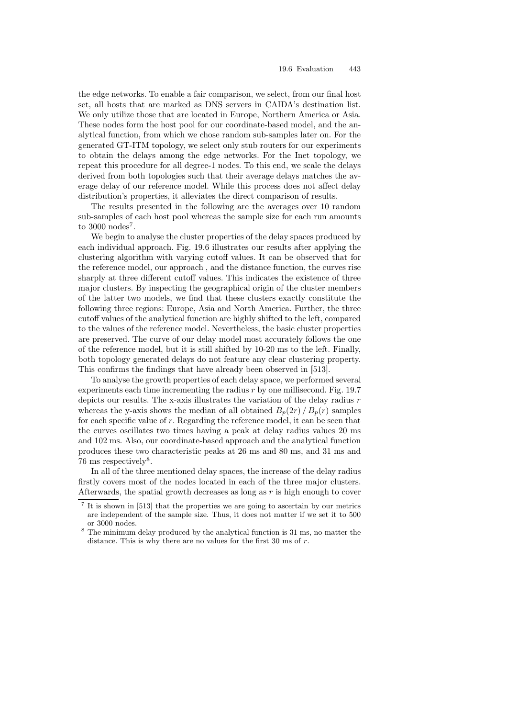the edge networks. To enable a fair comparison, we select, from our final host set, all hosts that are marked as DNS servers in CAIDA's destination list. We only utilize those that are located in Europe, Northern America or Asia. These nodes form the host pool for our coordinate-based model, and the analytical function, from which we chose random sub-samples later on. For the generated GT-ITM topology, we select only stub routers for our experiments to obtain the delays among the edge networks. For the Inet topology, we repeat this procedure for all degree-1 nodes. To this end, we scale the delays derived from both topologies such that their average delays matches the average delay of our reference model. While this process does not affect delay distribution's properties, it alleviates the direct comparison of results.

The results presented in the following are the averages over 10 random sub-samples of each host pool whereas the sample size for each run amounts to  $3000 \text{ nodes}^7$ .

We begin to analyse the cluster properties of the delay spaces produced by each individual approach. Fig. 19.6 illustrates our results after applying the clustering algorithm with varying cutoff values. It can be observed that for the reference model, our approach , and the distance function, the curves rise sharply at three different cutoff values. This indicates the existence of three major clusters. By inspecting the geographical origin of the cluster members of the latter two models, we find that these clusters exactly constitute the following three regions: Europe, Asia and North America. Further, the three cutoff values of the analytical function are highly shifted to the left, compared to the values of the reference model. Nevertheless, the basic cluster properties are preserved. The curve of our delay model most accurately follows the one of the reference model, but it is still shifted by 10-20 ms to the left. Finally, both topology generated delays do not feature any clear clustering property. This confirms the findings that have already been observed in [513].

To analyse the growth properties of each delay space, we performed several experiments each time incrementing the radius  $r$  by one millisecond. Fig. 19.7 depicts our results. The x-axis illustrates the variation of the delay radius  $r$ whereas the y-axis shows the median of all obtained  $B_p(2r) / B_p(r)$  samples for each specific value of r. Regarding the reference model, it can be seen that the curves oscillates two times having a peak at delay radius values 20 ms and 102 ms. Also, our coordinate-based approach and the analytical function produces these two characteristic peaks at 26 ms and 80 ms, and 31 ms and 76 ms respectively<sup>8</sup>.

In all of the three mentioned delay spaces, the increase of the delay radius firstly covers most of the nodes located in each of the three major clusters. Afterwards, the spatial growth decreases as long as r is high enough to cover

It is shown in [513] that the properties we are going to ascertain by our metrics are independent of the sample size. Thus, it does not matter if we set it to 500

<sup>%</sup> or 3000 nodes.  $^8$  The minimum delay produced by the analytical function is 31 ms, no matter the  $\,$ distance. This is why there are no values for the first  $30 \text{ ms of } r$ .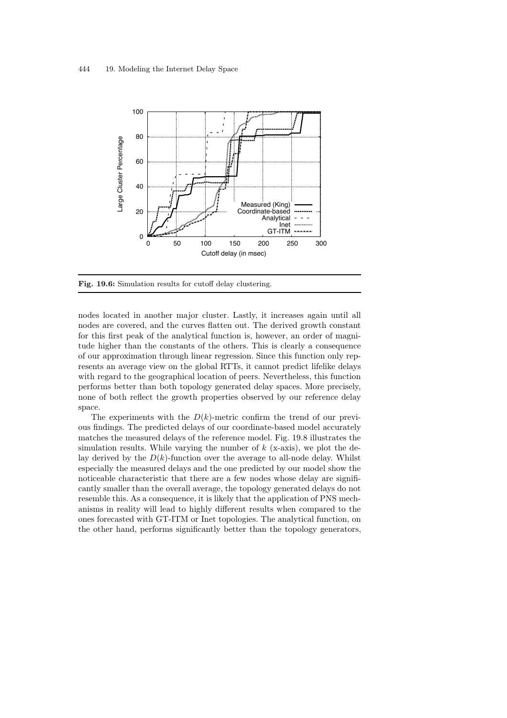

Fig. 19.6: Simulation results for cutoff delay clustering.

nodes located in another major cluster. Lastly, it increases again until all nodes are covered, and the curves flatten out. The derived growth constant for this first peak of the analytical function is, however, an order of magnitude higher than the constants of the others. This is clearly a consequence of our approximation through linear regression. Since this function only represents an average view on the global RTTs, it cannot predict lifelike delays with regard to the geographical location of peers. Nevertheless, this function performs better than both topology generated delay spaces. More precisely, none of both reflect the growth properties observed by our reference delay space.

The experiments with the  $D(k)$ -metric confirm the trend of our previous findings. The predicted delays of our coordinate-based model accurately matches the measured delays of the reference model. Fig. 19.8 illustrates the simulation results. While varying the number of  $k$  (x-axis), we plot the delay derived by the  $D(k)$ -function over the average to all-node delay. Whilst especially the measured delays and the one predicted by our model show the noticeable characteristic that there are a few nodes whose delay are significantly smaller than the overall average, the topology generated delays do not resemble this. As a consequence, it is likely that the application of PNS mechanisms in reality will lead to highly different results when compared to the ones forecasted with GT-ITM or Inet topologies. The analytical function, on the other hand, performs significantly better than the topology generators,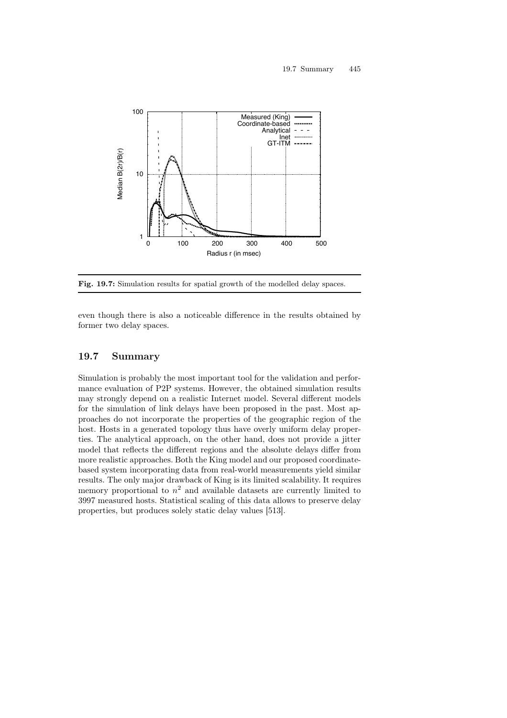19.7 Summary 445



Fig. 19.7: Simulation results for spatial growth of the modelled delay spaces.

even though there is also a noticeable difference in the results obtained by former two delay spaces.

# 19.7 Summary

Simulation is probably the most important tool for the validation and performance evaluation of P2P systems. However, the obtained simulation results may strongly depend on a realistic Internet model. Several different models for the simulation of link delays have been proposed in the past. Most approaches do not incorporate the properties of the geographic region of the host. Hosts in a generated topology thus have overly uniform delay properties. The analytical approach, on the other hand, does not provide a jitter model that reflects the different regions and the absolute delays differ from more realistic approaches. Both the King model and our proposed coordinatebased system incorporating data from real-world measurements yield similar results. The only major drawback of King is its limited scalability. It requires memory proportional to  $n^2$  and available datasets are currently limited to 3997 measured hosts. Statistical scaling of this data allows to preserve delay properties, but produces solely static delay values [513].